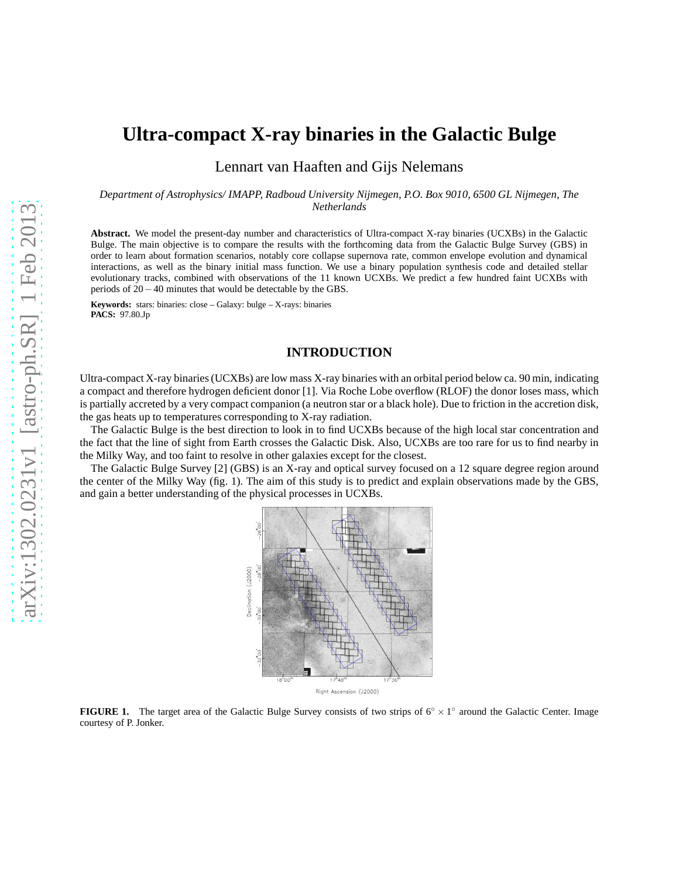# **Ultra-compact X-ray binaries in the Galactic Bulge**

Lennart van Haaften and Gijs Nelemans

*Department of Astrophysics/ IMAPP, Radboud University Nijmegen, P.O. Box 9010, 6500 GL Nijmegen, The Netherlands*

**Abstract.** We model the present-day number and characteristics of Ultra-compact X-ray binaries (UCXBs) in the Galactic Bulge. The main objective is to compare the results with the forthcoming data from the Galactic Bulge Survey (GBS) in order to learn about formation scenarios, notably core collapse supernova rate, common envelope evolution and dynamical interactions, as well as the binary initial mass function. We use a binary population synthesis code and detailed stellar evolutionary tracks, combined with observations of the 11 known UCXBs. We predict a few hundred faint UCXBs with periods of 20−40 minutes that would be detectable by the GBS.

**Keywords:** stars: binaries: close – Galaxy: bulge – X-rays: binaries **PACS:** 97.80.Jp

## **INTRODUCTION**

Ultra-compact X-ray binaries (UCXBs) are low mass X-ray binaries with an orbital period below ca. 90 min, indicating a compact and therefore hydrogen deficient donor [1]. Via Roche Lobe overflow (RLOF) the donor loses mass, which is partially accreted by a very compact companion (a neutron star or a black hole). Due to friction in the accretion disk, the gas heats up to temperatures corresponding to X-ray radiation.

The Galactic Bulge is the best direction to look in to find UCXBs because of the high local star concentration and the fact that the line of sight from Earth crosses the Galactic Disk. Also, UCXBs are too rare for us to find nearby in the Milky Way, and too faint to resolve in other galaxies except for the closest.

The Galactic Bulge Survey [2] (GBS) is an X-ray and optical survey focused on a 12 square degree region around the center of the Milky Way (fig. 1). The aim of this study is to predict and explain observations made by the GBS, and gain a better understanding of the physical processes in UCXBs.



**FIGURE 1.** The target area of the Galactic Bulge Survey consists of two strips of 6° × 1° around the Galactic Center. Image courtesy of P. Jonker.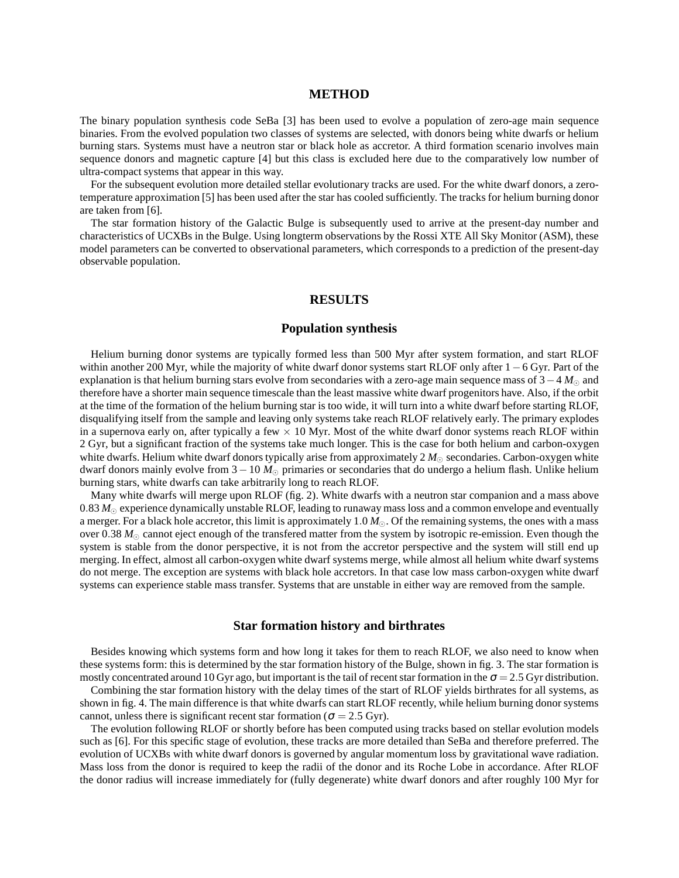## **METHOD**

The binary population synthesis code SeBa [3] has been used to evolve a population of zero-age main sequence binaries. From the evolved population two classes of systems are selected, with donors being white dwarfs or helium burning stars. Systems must have a neutron star or black hole as accretor. A third formation scenario involves main sequence donors and magnetic capture [4] but this class is excluded here due to the comparatively low number of ultra-compact systems that appear in this way.

For the subsequent evolution more detailed stellar evolutionary tracks are used. For the white dwarf donors, a zerotemperature approximation [5] has been used after the star has cooled sufficiently. The tracks for helium burning donor are taken from [6].

The star formation history of the Galactic Bulge is subsequently used to arrive at the present-day number and characteristics of UCXBs in the Bulge. Using longterm observations by the Rossi XTE All Sky Monitor (ASM), these model parameters can be converted to observational parameters, which corresponds to a prediction of the present-day observable population.

# **RESULTS**

# **Population synthesis**

Helium burning donor systems are typically formed less than 500 Myr after system formation, and start RLOF within another 200 Myr, while the majority of white dwarf donor systems start RLOF only after 1−6 Gyr. Part of the explanation is that helium burning stars evolve from secondaries with a zero-age main sequence mass of 3−4 *M*<sup>⊙</sup> and therefore have a shorter main sequence timescale than the least massive white dwarf progenitors have. Also, if the orbit at the time of the formation of the helium burning star is too wide, it will turn into a white dwarf before starting RLOF, disqualifying itself from the sample and leaving only systems take reach RLOF relatively early. The primary explodes in a supernova early on, after typically a few  $\times$  10 Myr. Most of the white dwarf donor systems reach RLOF within 2 Gyr, but a significant fraction of the systems take much longer. This is the case for both helium and carbon-oxygen white dwarfs. Helium white dwarf donors typically arise from approximately 2  $M_{\odot}$  secondaries. Carbon-oxygen white dwarf donors mainly evolve from 3−10 *M*<sup>⊙</sup> primaries or secondaries that do undergo a helium flash. Unlike helium burning stars, white dwarfs can take arbitrarily long to reach RLOF.

Many white dwarfs will merge upon RLOF (fig. 2). White dwarfs with a neutron star companion and a mass above 0.83  $M_{\odot}$  experience dynamically unstable RLOF, leading to runaway mass loss and a common envelope and eventually a merger. For a black hole accretor, this limit is approximately 1.0 *M*⊙. Of the remaining systems, the ones with a mass over 0.38  $M_{\odot}$  cannot eject enough of the transfered matter from the system by isotropic re-emission. Even though the system is stable from the donor perspective, it is not from the accretor perspective and the system will still end up merging. In effect, almost all carbon-oxygen white dwarf systems merge, while almost all helium white dwarf systems do not merge. The exception are systems with black hole accretors. In that case low mass carbon-oxygen white dwarf systems can experience stable mass transfer. Systems that are unstable in either way are removed from the sample.

#### **Star formation history and birthrates**

Besides knowing which systems form and how long it takes for them to reach RLOF, we also need to know when these systems form: this is determined by the star formation history of the Bulge, shown in fig. 3. The star formation is mostly concentrated around 10 Gyr ago, but important is the tail of recent star formation in the  $\sigma = 2.5$  Gyr distribution.

Combining the star formation history with the delay times of the start of RLOF yields birthrates for all systems, as shown in fig. 4. The main difference is that white dwarfs can start RLOF recently, while helium burning donor systems cannot, unless there is significant recent star formation ( $\sigma = 2.5$  Gyr).

The evolution following RLOF or shortly before has been computed using tracks based on stellar evolution models such as [6]. For this specific stage of evolution, these tracks are more detailed than SeBa and therefore preferred. The evolution of UCXBs with white dwarf donors is governed by angular momentum loss by gravitational wave radiation. Mass loss from the donor is required to keep the radii of the donor and its Roche Lobe in accordance. After RLOF the donor radius will increase immediately for (fully degenerate) white dwarf donors and after roughly 100 Myr for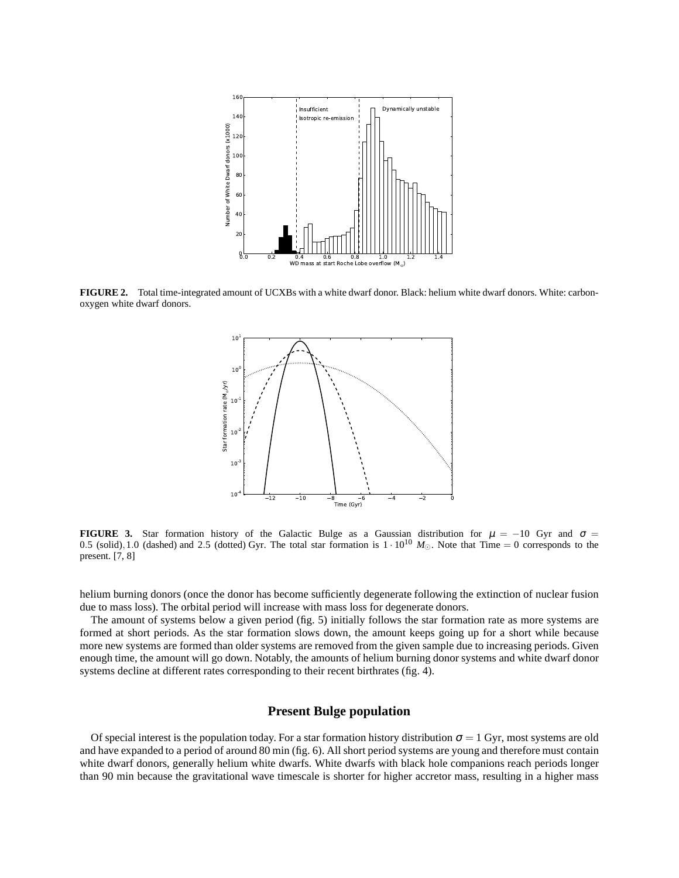

FIGURE 2. Total time-integrated amount of UCXBs with a white dwarf donor. Black: helium white dwarf donors. White: carbonoxygen white dwarf donors.



**FIGURE 3.** Star formation history of the Galactic Bulge as a Gaussian distribution for  $\mu = -10$  Gyr and  $\sigma =$ 0.5 (solid),1.0 (dashed) and 2.5 (dotted) Gyr. The total star formation is  $1 \cdot 10^{10}$   $M_{\odot}$ . Note that Time = 0 corresponds to the present. [7, 8]

helium burning donors (once the donor has become sufficiently degenerate following the extinction of nuclear fusion due to mass loss). The orbital period will increase with mass loss for degenerate donors.

The amount of systems below a given period (fig. 5) initially follows the star formation rate as more systems are formed at short periods. As the star formation slows down, the amount keeps going up for a short while because more new systems are formed than older systems are removed from the given sample due to increasing periods. Given enough time, the amount will go down. Notably, the amounts of helium burning donor systems and white dwarf donor systems decline at different rates corresponding to their recent birthrates (fig. 4).

#### **Present Bulge population**

Of special interest is the population today. For a star formation history distribution  $\sigma = 1$  Gyr, most systems are old and have expanded to a period of around 80 min (fig. 6). All short period systems are young and therefore must contain white dwarf donors, generally helium white dwarfs. White dwarfs with black hole companions reach periods longer than 90 min because the gravitational wave timescale is shorter for higher accretor mass, resulting in a higher mass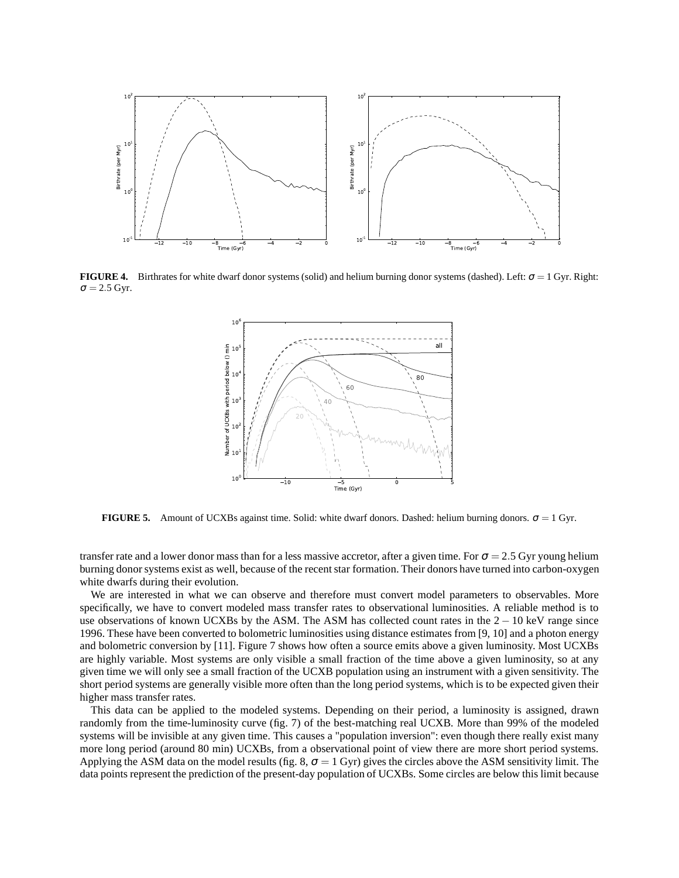

**FIGURE 4.** Birthrates for white dwarf donor systems (solid) and helium burning donor systems (dashed). Left:  $\sigma = 1$  Gyr. Right:  $\sigma = 2.5$  Gyr.



**FIGURE 5.** Amount of UCXBs against time. Solid: white dwarf donors. Dashed: helium burning donors.  $\sigma = 1$  Gyr.

transfer rate and a lower donor mass than for a less massive accretor, after a given time. For  $\sigma = 2.5$  Gyr young helium burning donor systems exist as well, because of the recent star formation. Their donors have turned into carbon-oxygen white dwarfs during their evolution.

We are interested in what we can observe and therefore must convert model parameters to observables. More specifically, we have to convert modeled mass transfer rates to observational luminosities. A reliable method is to use observations of known UCXBs by the ASM. The ASM has collected count rates in the  $2 - 10$  keV range since 1996. These have been converted to bolometric luminosities using distance estimates from [9, 10] and a photon energy and bolometric conversion by [11]. Figure 7 shows how often a source emits above a given luminosity. Most UCXBs are highly variable. Most systems are only visible a small fraction of the time above a given luminosity, so at any given time we will only see a small fraction of the UCXB population using an instrument with a given sensitivity. The short period systems are generally visible more often than the long period systems, which is to be expected given their higher mass transfer rates.

This data can be applied to the modeled systems. Depending on their period, a luminosity is assigned, drawn randomly from the time-luminosity curve (fig. 7) of the best-matching real UCXB. More than 99% of the modeled systems will be invisible at any given time. This causes a "population inversion": even though there really exist many more long period (around 80 min) UCXBs, from a observational point of view there are more short period systems. Applying the ASM data on the model results (fig. 8,  $\sigma = 1$  Gyr) gives the circles above the ASM sensitivity limit. The data points represent the prediction of the present-day population of UCXBs. Some circles are below this limit because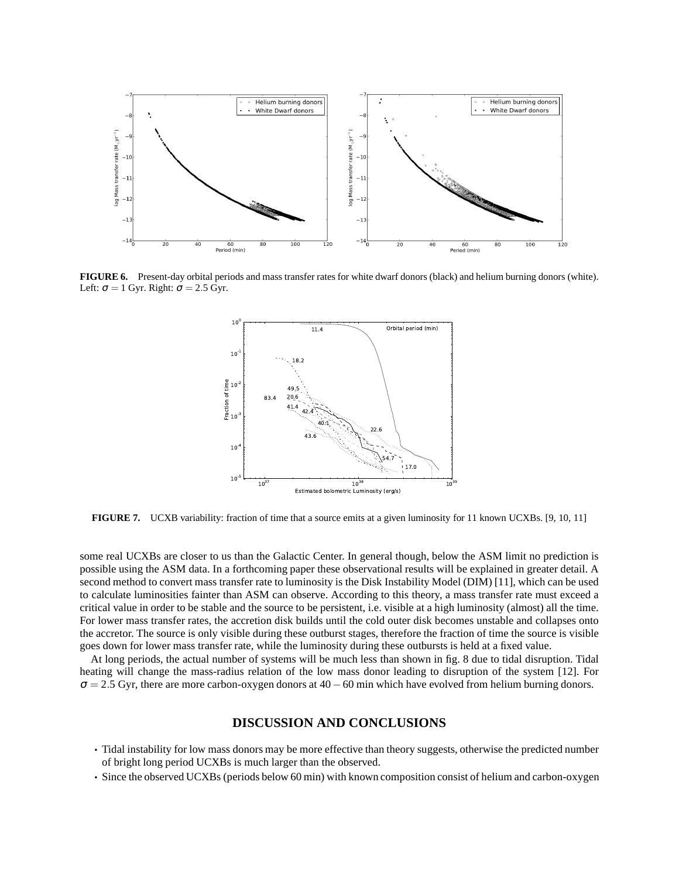

**FIGURE 6.** Present-day orbital periods and mass transfer rates for white dwarf donors (black) and helium burning donors (white). Left:  $\sigma = 1$  Gyr. Right:  $\sigma = 2.5$  Gyr.



**FIGURE 7.** UCXB variability: fraction of time that a source emits at a given luminosity for 11 known UCXBs. [9, 10, 11]

some real UCXBs are closer to us than the Galactic Center. In general though, below the ASM limit no prediction is possible using the ASM data. In a forthcoming paper these observational results will be explained in greater detail. A second method to convert mass transfer rate to luminosity is the Disk Instability Model (DIM) [11], which can be used to calculate luminosities fainter than ASM can observe. According to this theory, a mass transfer rate must exceed a critical value in order to be stable and the source to be persistent, i.e. visible at a high luminosity (almost) all the time. For lower mass transfer rates, the accretion disk builds until the cold outer disk becomes unstable and collapses onto the accretor. The source is only visible during these outburst stages, therefore the fraction of time the source is visible goes down for lower mass transfer rate, while the luminosity during these outbursts is held at a fixed value.

At long periods, the actual number of systems will be much less than shown in fig. 8 due to tidal disruption. Tidal heating will change the mass-radius relation of the low mass donor leading to disruption of the system [12]. For  $\sigma$  = 2.5 Gyr, there are more carbon-oxygen donors at 40 – 60 min which have evolved from helium burning donors.

#### **DISCUSSION AND CONCLUSIONS**

- Tidal instability for low mass donors may be more effective than theory suggests, otherwise the predicted number of bright long period UCXBs is much larger than the observed.
- Since the observed UCXBs (periods below 60 min) with known composition consist of helium and carbon-oxygen